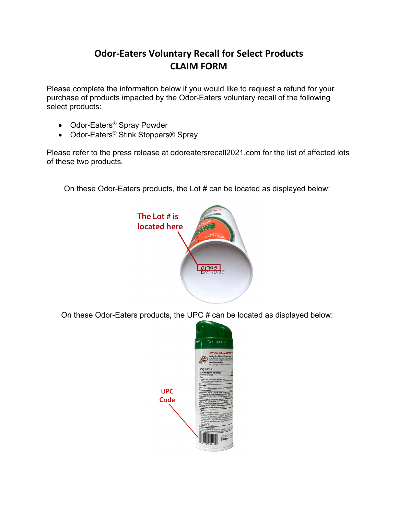## **Odor-Eaters Voluntary Recall for Select Products CLAIM FORM**

Please complete the information below if you would like to request a refund for your purchase of products impacted by the Odor-Eaters voluntary recall of the following select products:

- Odor-Eaters® Spray Powder
- Odor-Eaters<sup>®</sup> Stink Stoppers® Spray

Please refer to the press release at odoreatersrecall2021.com for the list of affected lots of these two products.

On these Odor-Eaters products, the Lot # can be located as displayed below:



On these Odor-Eaters products, the UPC # can be located as displayed below:

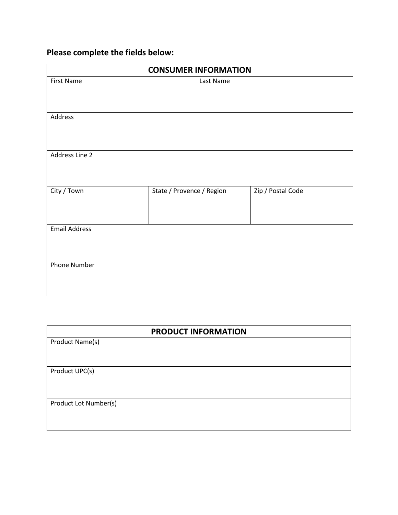## **Please complete the fields below:**

| <b>CONSUMER INFORMATION</b> |                           |  |                   |  |
|-----------------------------|---------------------------|--|-------------------|--|
| <b>First Name</b>           | Last Name                 |  |                   |  |
| Address                     |                           |  |                   |  |
| Address Line 2              |                           |  |                   |  |
| City / Town                 | State / Provence / Region |  | Zip / Postal Code |  |
| <b>Email Address</b>        |                           |  |                   |  |
| Phone Number                |                           |  |                   |  |

| <b>PRODUCT INFORMATION</b> |  |  |  |
|----------------------------|--|--|--|
| Product Name(s)            |  |  |  |
|                            |  |  |  |
| Product UPC(s)             |  |  |  |
|                            |  |  |  |
|                            |  |  |  |
| Product Lot Number(s)      |  |  |  |
|                            |  |  |  |
|                            |  |  |  |